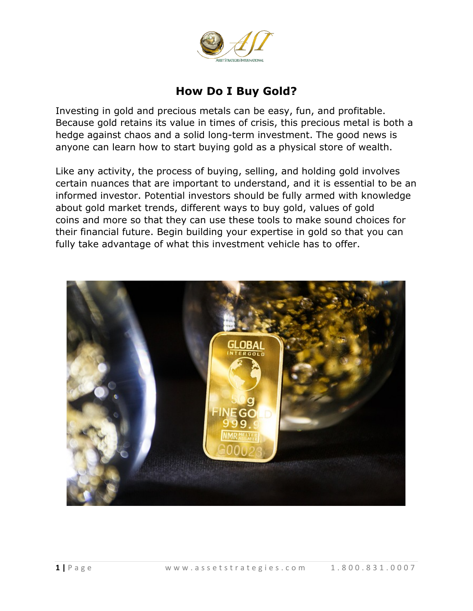

# **How Do I Buy Gold?**

Investing in gold and precious metals can be easy, fun, and profitable. Because gold retains its value in times of crisis, this precious metal is both a hedge against chaos and a solid long-term investment. The good news is anyone can learn how to start buying gold as a physical store of wealth.

Like any activity, the process of buying, selling, and holding gold involves certain nuances that are important to understand, and it is essential to be an informed investor. Potential investors should be fully armed with knowledge about gold market trends, different ways to buy gold, values of gold coins and more so that they can use these tools to make sound choices for their financial future. Begin building your expertise in gold so that you can fully take advantage of what this investment vehicle has to offer.

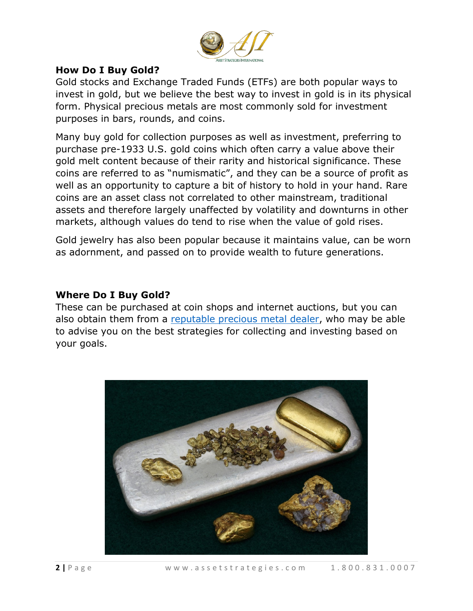

#### **How Do I Buy Gold?**

Gold stocks and Exchange Traded Funds (ETFs) are both popular ways to invest in gold, but we believe the best way to invest in gold is in its physical form. Physical precious metals are most commonly sold for investment purposes in bars, rounds, and coins.

Many buy gold for collection purposes as well as investment, preferring to purchase pre-1933 U.S. gold coins which often carry a value above their gold melt content because of their rarity and historical significance. These coins are referred to as "numismatic", and they can be a source of profit as well as an opportunity to capture a bit of history to hold in your hand. Rare coins are an asset class not correlated to other mainstream, traditional assets and therefore largely unaffected by volatility and downturns in other markets, although values do tend to rise when the value of gold rises.

Gold jewelry has also been popular because it maintains value, can be worn as adornment, and passed on to provide wealth to future generations.

#### **Where Do I Buy Gold?**

These can be purchased at coin shops and internet auctions, but you can also obtain them from a [reputable precious metal dealer,](https://assetstrategies.us9.list-manage.com/track/click?u=e8c317870a04e86801c43f4f6&id=c73a5ba9e0&e=2d48501794) who may be able to advise you on the best strategies for collecting and investing based on your goals.

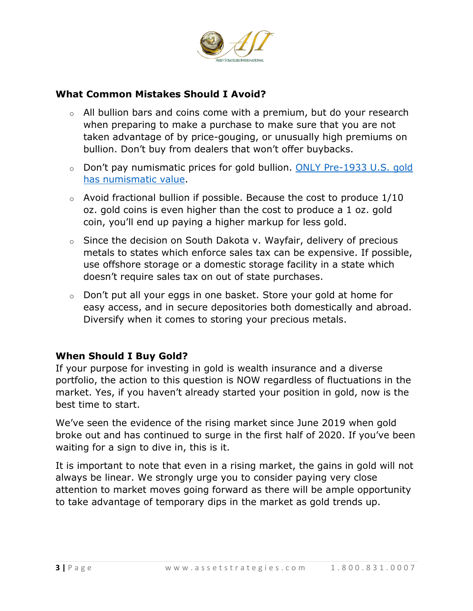

## **What Common Mistakes Should I Avoid?**

- $\circ$  All bullion bars and coins come with a premium, but do your research when preparing to make a purchase to make sure that you are not taken advantage of by price-gouging, or unusually high premiums on bullion. Don't buy from dealers that won't offer buybacks.
- o Don't pay numismatic prices for gold bullion. [ONLY Pre-1933 U.S. gold](https://assetstrategies.us9.list-manage.com/track/click?u=e8c317870a04e86801c43f4f6&id=66200a66b2&e=2d48501794)  [has numismatic value.](https://assetstrategies.us9.list-manage.com/track/click?u=e8c317870a04e86801c43f4f6&id=66200a66b2&e=2d48501794)
- $\circ$  Avoid fractional bullion if possible. Because the cost to produce  $1/10$ oz. gold coins is even higher than the cost to produce a 1 oz. gold coin, you'll end up paying a higher markup for less gold.
- $\circ$  Since the decision on South Dakota v. Wayfair, delivery of precious metals to states which enforce sales tax can be expensive. If possible, use offshore storage or a domestic storage facility in a state which doesn't require sales tax on out of state purchases.
- $\circ$  Don't put all your eggs in one basket. Store your gold at home for easy access, and in secure depositories both domestically and abroad. Diversify when it comes to storing your precious metals.

## **When Should I Buy Gold?**

If your purpose for investing in gold is wealth insurance and a diverse portfolio, the action to this question is NOW regardless of fluctuations in the market. Yes, if you haven't already started your position in gold, now is the best time to start.

We've seen the evidence of the rising market since June 2019 when gold broke out and has continued to surge in the first half of 2020. If you've been waiting for a sign to dive in, this is it.

It is important to note that even in a rising market, the gains in gold will not always be linear. We strongly urge you to consider paying very close attention to market moves going forward as there will be ample opportunity to take advantage of temporary dips in the market as gold trends up.